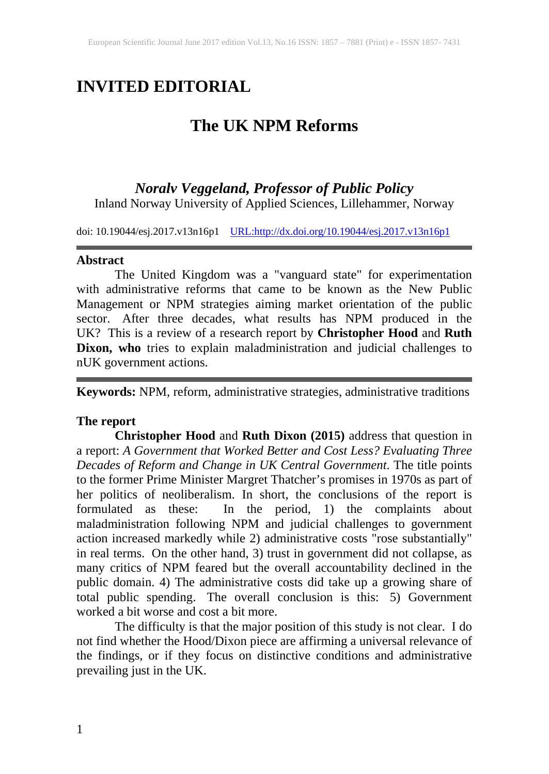# **INVITED EDITORIAL**

# **The UK NPM Reforms**

## *Noralv Veggeland, Professor of Public Policy*

Inland Norway University of Applied Sciences, Lillehammer, Norway

doi: 10.19044/esj.2017.v13n16p1 [URL:http://dx.doi.org/10.19044/esj.2017.v13n16p1](http://dx.doi.org/10.19044/esj.2017.v13n16p1)

#### **Abstract**

The United Kingdom was a "vanguard state" for experimentation with administrative reforms that came to be known as the New Public Management or NPM strategies aiming market orientation of the public sector. After three decades, what results has NPM produced in the UK? This is a review of a research report by **Christopher Hood** and **Ruth Dixon, who** tries to explain maladministration and judicial challenges to nUK government actions.

**Keywords:** NPM, reform, administrative strategies, administrative traditions

#### **The report**

**Christopher Hood** and **Ruth Dixon (2015)** address that question in a report: *A Government that Worked Better and Cost Less? Evaluating Three Decades of Reform and Change in UK Central Government*. The title points to the former Prime Minister Margret Thatcher's promises in 1970s as part of her politics of neoliberalism. In short, the conclusions of the report is formulated as these: In the period, 1) the complaints about maladministration following NPM and judicial challenges to government action increased markedly while 2) administrative costs "rose substantially" in real terms. On the other hand, 3) trust in government did not collapse, as many critics of NPM feared but the overall accountability declined in the public domain. 4) The administrative costs did take up a growing share of total public spending. The overall conclusion is this: 5) Government worked a bit worse and cost a bit more.

The difficulty is that the major position of this study is not clear. I do not find whether the Hood/Dixon piece are affirming a universal relevance of the findings, or if they focus on distinctive conditions and administrative prevailing just in the UK.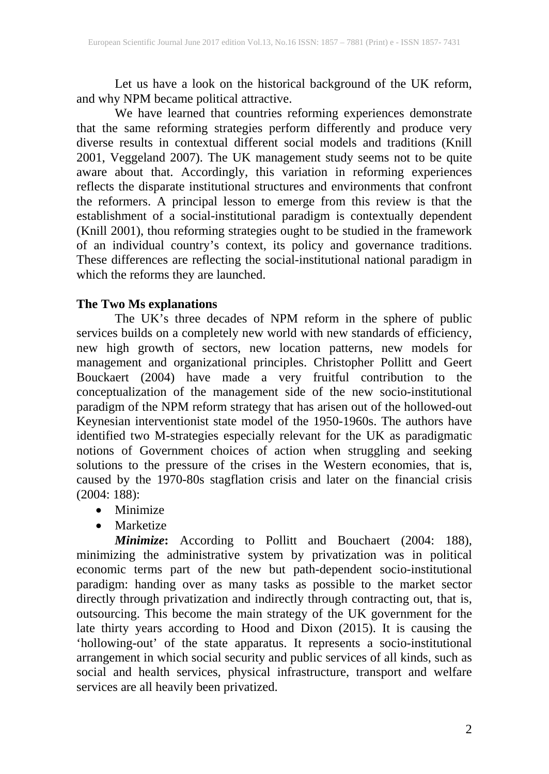Let us have a look on the historical background of the UK reform, and why NPM became political attractive.

We have learned that countries reforming experiences demonstrate that the same reforming strategies perform differently and produce very diverse results in contextual different social models and traditions (Knill 2001, Veggeland 2007). The UK management study seems not to be quite aware about that. Accordingly, this variation in reforming experiences reflects the disparate institutional structures and environments that confront the reformers. A principal lesson to emerge from this review is that the establishment of a social-institutional paradigm is contextually dependent (Knill 2001), thou reforming strategies ought to be studied in the framework of an individual country's context, its policy and governance traditions. These differences are reflecting the social-institutional national paradigm in which the reforms they are launched.

### **The Two Ms explanations**

The UK's three decades of NPM reform in the sphere of public services builds on a completely new world with new standards of efficiency, new high growth of sectors, new location patterns, new models for management and organizational principles. Christopher Pollitt and Geert Bouckaert (2004) have made a very fruitful contribution to the conceptualization of the management side of the new socio-institutional paradigm of the NPM reform strategy that has arisen out of the hollowed-out Keynesian interventionist state model of the 1950-1960s. The authors have identified two M-strategies especially relevant for the UK as paradigmatic notions of Government choices of action when struggling and seeking solutions to the pressure of the crises in the Western economies, that is, caused by the 1970-80s stagflation crisis and later on the financial crisis (2004: 188):

- Minimize
- Marketize

*Minimize***:** According to Pollitt and Bouchaert (2004: 188), minimizing the administrative system by privatization was in political economic terms part of the new but path-dependent socio-institutional paradigm: handing over as many tasks as possible to the market sector directly through privatization and indirectly through contracting out, that is, outsourcing. This become the main strategy of the UK government for the late thirty years according to Hood and Dixon (2015). It is causing the 'hollowing-out' of the state apparatus. It represents a socio-institutional arrangement in which social security and public services of all kinds, such as social and health services, physical infrastructure, transport and welfare services are all heavily been privatized.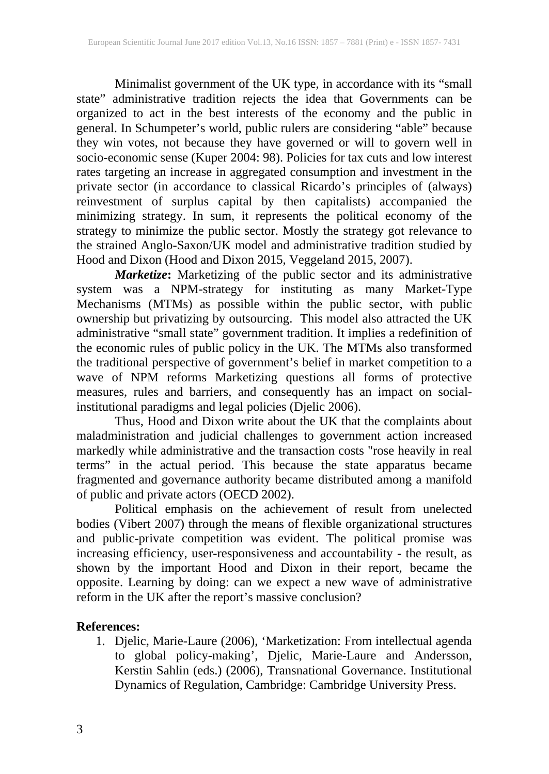Minimalist government of the UK type, in accordance with its "small state" administrative tradition rejects the idea that Governments can be organized to act in the best interests of the economy and the public in general. In Schumpeter's world, public rulers are considering "able" because they win votes, not because they have governed or will to govern well in socio-economic sense (Kuper 2004: 98). Policies for tax cuts and low interest rates targeting an increase in aggregated consumption and investment in the private sector (in accordance to classical Ricardo's principles of (always) reinvestment of surplus capital by then capitalists) accompanied the minimizing strategy. In sum, it represents the political economy of the strategy to minimize the public sector. Mostly the strategy got relevance to the strained Anglo-Saxon/UK model and administrative tradition studied by Hood and Dixon (Hood and Dixon 2015, Veggeland 2015, 2007).

*Marketize***:** Marketizing of the public sector and its administrative system was a NPM-strategy for instituting as many Market-Type Mechanisms (MTMs) as possible within the public sector, with public ownership but privatizing by outsourcing. This model also attracted the UK administrative "small state" government tradition. It implies a redefinition of the economic rules of public policy in the UK. The MTMs also transformed the traditional perspective of government's belief in market competition to a wave of NPM reforms Marketizing questions all forms of protective measures, rules and barriers, and consequently has an impact on socialinstitutional paradigms and legal policies (Djelic 2006).

Thus, Hood and Dixon write about the UK that the complaints about maladministration and judicial challenges to government action increased markedly while administrative and the transaction costs "rose heavily in real terms" in the actual period. This because the state apparatus became fragmented and governance authority became distributed among a manifold of public and private actors (OECD 2002).

Political emphasis on the achievement of result from unelected bodies (Vibert 2007) through the means of flexible organizational structures and public-private competition was evident. The political promise was increasing efficiency, user-responsiveness and accountability - the result, as shown by the important Hood and Dixon in their report, became the opposite. Learning by doing: can we expect a new wave of administrative reform in the UK after the report's massive conclusion?

### **References:**

1. Djelic, Marie-Laure (2006), 'Marketization: From intellectual agenda to global policy-making', Djelic, Marie-Laure and Andersson, Kerstin Sahlin (eds.) (2006), Transnational Governance. Institutional Dynamics of Regulation, Cambridge: Cambridge University Press.